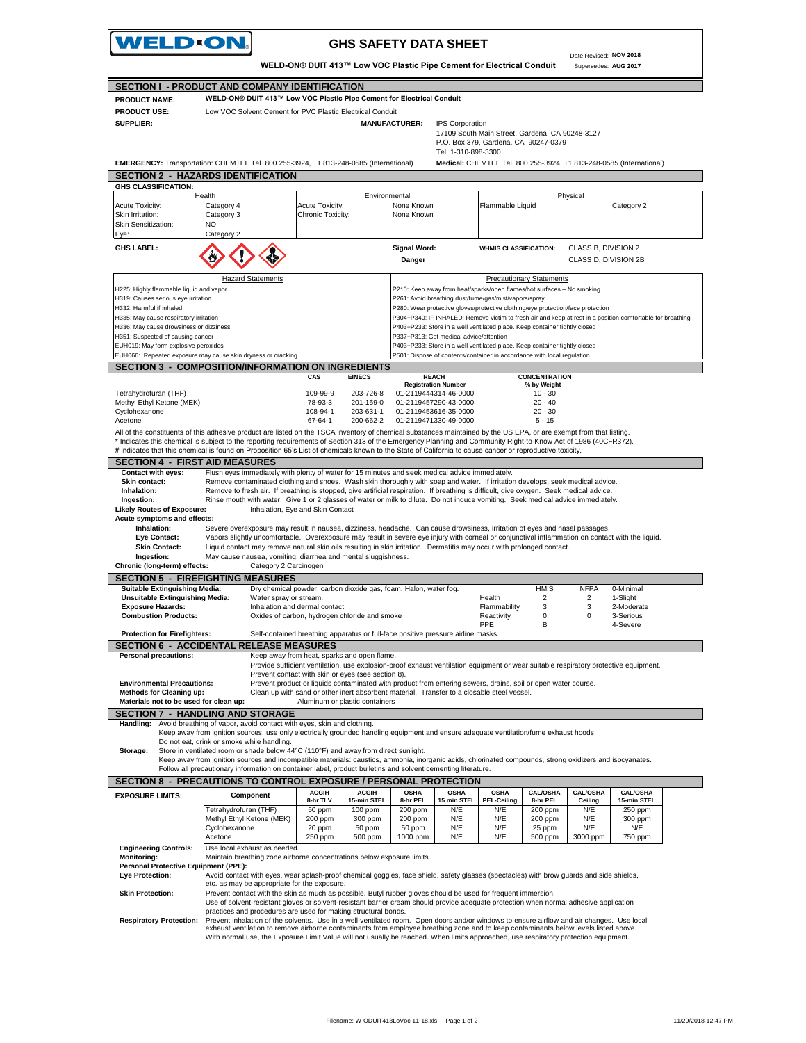WELD×ON **GHS SAFETY DATA SHEET** Date Revised: **NOV 2018 WELD-ON® DUIT 413™ Low VOC Plastic Pipe Cement for Electrical Conduit** Supersedes: **AUG 2017 SECTION I - PRODUCT AND COMPANY IDENTIFICATION WELD-ON® DUIT 413™ Low VOC Plastic Pipe Cement for Electrical Conduit PRODUCT NAME: PRODUCT USE:** Low VOC Solvent Cement for PVC Plastic Electrical Conduit **SUPPLIER: MANUFACTURER:** IPS Corporation 17109 South Main Street, Gardena, CA 90248-3127 P.O. Box 379, Gardena, CA 90247-0379 Tel. 1-310-898-3300 **EMERGENCY:** Transportation: CHEMTEL Tel. 800.255-3924, +1 813-248-0585 (International) **Medical:** CHEMTEL Tel. 800.255-3924, +1 813-248-0585 (International) **SECTION 2 - HAZARDS IDENTIFICATION GHS CLASSIFICATION:** Health Environmental Physical Acute Toxicity: Category 4 Acute Toxicity: None Known Flammable Liquid Category 2 Skin Irritation: Category 3 Chronic Toxicity: None Known Skin Sensitization: NO Eye: Category **GHS LABEL: Signal Word: WHMIS CLASSIFICATION: CLASS B, DIVISION 2 Danger** CLASS D, DIVISION 2B Hazard Statements **Precautionary Statements Precautionary Statements** H225: Highly flammable liquid and vapor P210: Keep away from heat/sparks/open flames/hot surfaces – No smoking H319: Causes serious eye irritation et al. et al. et al. et al. et al. et al. et al. et al. et al. et al. et a H332: Harmful if inhaled **P280: Wear protective gloves/protective** clothing/eye protection/face protection H335: May cause respiratory irritation<br>H336: May cause drowsiness or dizziness<br>H336: May cause drowsiness or dizziness<br>P403+P233: Store in a well ventilated place. Keep container tightly closed H336: May cause drowsiness or dizziness P403+P233: Store in a well ventilated place. Keep container tightly closed H351: Suspected of causing cancer P337+P313: Get medical advice/attention EUH019: May form explosive peroxides P403+P233: Store in a well ventilated place. Keep container tightly closed EUH066: Repeated exposure may cause skin dryness or cracking P501: Dispose of contents/container in accordance with local regulation **SECTION 3 - COMPOSITION/INFORMATION ON INGREDIENTS CAS EINECS CONCENTRATION REACH % by Weight** Tetrahydrofuran (THF) 109-99-9 203-726-8 10 - 30 **Registration Number** 01-2119444314-46-0000 Methyl Ethyl Ketone (MEK) 78-93-3 201-159-0 20 - 40 01-2119457290-43-0000 Cyclohexanone 108-94-1 203-631-1 20 - 30 01-2119453616-35-0000 Acetone 67-64-1 200-662-2 5 - 15 01-2119471330-49-0000 All of the constituents of this adhesive product are listed on the TSCA inventory of chemical substances maintained by the US EPA, or are exempt from that listing. \* Indicates this chemical is subject to the reporting requirements of Section 313 of the Emergency Planning and Community Right-to-Know Act of 1986 (40CFR372).<br># indicates that this chemical is found on Proposition 65's Li **SECTION 4 - FIRST AID MEASURES**<br>Contact with eyes: Flush eyes immediately Flush eyes immediately with plenty of water for 15 minutes and seek medical advice immediately. **Skin contact:** Remove contaminated clothing and shoes. Wash skin thoroughly with soap and water. If irritation develops, seek medical advice.<br> **Inhalation:** Remove to fresh air. If breathing is stopped, give artificial re  **Inhalation:** Remove to fresh air. If breathing is stopped, give artificial respiration. If breathing is difficult, give oxygen. Seek medical advice.  **Ingestion:** Rinse mouth with water. Give 1 or 2 glasses of water or milk to dilute. Do not induce vomiting. Seek medical advice immediately. **Likely Routes of Exposure:** Inhalation, Eye and Skin Contact **Acute symptoms and effects:** Severe overexposure may result in nausea, dizziness, headache. Can cause drowsiness, irritation of eyes and nasal passages.  **Eye Contact:** Vapors slightly uncomfortable. Overexposure may result in severe eye injury with corneal or conjunctival inflammation on contact with the liquid. **Skin Contact:** Liquid contact may remove natural skin oils resulting in skin irritation. Dermatitis may occur with prolonged contact.<br>Ingestion: May cause nausea, vomiting, diarrhea and mental sluggishness. May cause nausea, vomiting, diarrhea and mental sluggishness.<br> **SEC 25 SEC 25 SEC 25 SEC 25 SEC 25 SEC 25 SEC 25 SEC 25 SEC 26 SEC 26 SEC 26 SEC 26 SEC 26 SEC 26 SEC 26 SEC 26 SEC 26 SEC 26 SEC 26 SEC 26 SEC 26 SEC 26 SEC Chronic (long-term) effects: SECTION 5 - FIREFIGHTING MEASURES Suitable Extinguishing Media:** Dry chemical powder, carbon dioxide gas, foam, Halon, water fog. HMIS NFPA 0-Minimal **Unsuitable Extinguishing Media:** Water spray or stream.<br> **Exposure Hazards:** 2-Moderate and dermal contact **1990 12-100 12-100 12-11 12-11 12-11 12-11 12-11** 12-11 12-Moderate **Exposure Hazards:** Thinalation and dermal contact and smoke **Flammability** 3 3 2-Moderat<br> **Combustion Products:** Coxides of carbon, hydrogen chloride and smoke Reactivity 0 0 3-Serious **Combustion Combustion Products:** Oxides of carbon, hydrogen chloride and smoke **Reactivity** 0 **DPE** B 4-Severe **Protection for Firefighters:** Self-contained breathing apparatus or full-face positive pressure airline masks **SECTION 6 - ACCIDENTAL RELEASE MEASURES**<br>**Personal precautions:** Keep away from heat, spark Keep away from heat, sparks and open flame. Provide sufficient ventilation, use explosion-proof exhaust ventilation equipment or wear suitable respiratory protective equipment. Prevent contact with skin or eyes (see section 8). **Environmental Precautions:** Prevent product or liquids contaminated with product from entering sewers, drains, soil or open water course.<br>**Methods for Cleaning up:** Clean up with sand or other inert absorbent material. Tr **Clean up with sand or other inert absorbent material. Transfer to a closable steel vessel.**<br>Aluminum or plastic containers **Materials not to be used for clean up: SECTION 7 - HANDLING AND STORAGE Handling:** Avoid breathing of vapor, avoid contact with eyes, skin and clothing. Keep away from ignition sources, use only electrically grounded handling equipment and ensure adequate ventilation/fume exhaust hoods. Do not eat, drink or smoke while handling.  **Storage:** Store in ventilated room or shade below 44°C (110°F) and away from direct sunlight. Keep away from ignition sources and incompatible materials: caustics, ammonia, inorganic acids, chlorinated compounds, strong oxidizers and isocyanates.<br>Follow all precautionary information on container label, product bull **SECTION 8 - PRECAUTIONS TO CONTROL EXPOSURE / PERSONAL PROTECTION EXPOSURE LIMITS: Component ACGIN ACGIH OSHA OSHA OSHA CAL/OSHA CAL/OSHA CAL/OSHA Componen 15 min STEL Ceiling 8-hr TLV 15-min STEL 8-hr PEL PEL-Ceiling 8-hr PEL 15-min STEL** Tetrahydrofuran (THF) 50 ppm 100 ppm 200 ppm N/E N/E 200 ppm N/E 250 ppm<br>Methyl Ethyl Ketone (MEK) 200 ppm 300 ppm 200 ppm N/E N/E 200 ppm N/E 300 ppm Methyl Ethyl Ketone (MEK) 200 ppm 300 ppm 200 ppm N/E N/E 200 ppm N/E 300 ppm Cyclohexanone<br>Acetone 20 ppm | 50 ppm | 50 ppm | N/E | N/E | 25 ppm | N/E | N/E Acetone 250 ppm 500 ppm 1000 ppm N/E N/E 500 ppm 3000 ppm 750 ppm **Engineering Controls:** Use local exhaust as needed **Monitoring:** Maintain breathing zone airborne concentrations below exposure limits.<br>**Personal Protective Equipment (PPE): Personal Protective Equ Eye Protection:** Avoid contact with eyes, wear splash-proof chemical goggles, face shield, safety glasses (spectacles) with brow guards and side shields, etc. as may be appropriate for the exposure.

 **Skin Protection:** Prevent contact with the skin as much as possible. Butyl rubber gloves should be used for frequent immersion.

Use of solvent-resistant gloves or solvent-resistant barrier cream should provide adequate protection when normal adhesive application practices and procedures are used for making structural bonds.

 **Respiratory Protection:** Prevent inhalation of the solvents. Use in a well-ventilated room. Open doors and/or windows to ensure airflow and air changes. Use local exhaust ventilation to remove airborne contaminants from employee breathing zone and to keep contaminants below levels listed above. With normal use, the Exposure Limit Value will not usually be reached. When limits approached, use respiratory protection equipment.